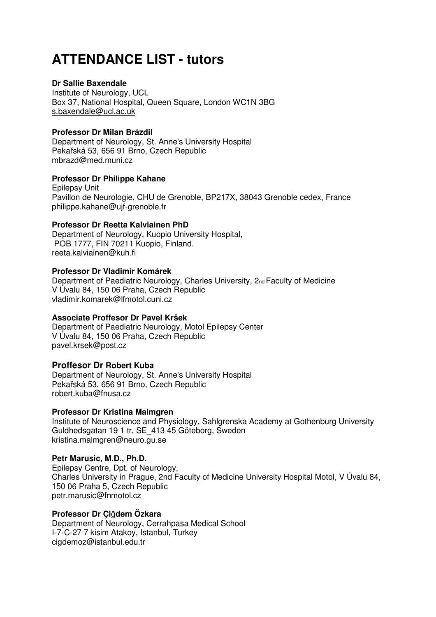# **ATTENDANCE LIST - tutors**

## **Dr Sallie Baxendale**

Institute of Neurology, UCL Box 37, National Hospital, Queen Square, London WC1N 3BG s.baxendale@ucl.ac.uk

## **Professor Dr Milan Brázdil**

Department of Neurology, St. Anne's University Hospital Pekařská 53, 656 91 Brno, Czech Republic mbrazd@med.muni.cz

## **Professor Dr Philippe Kahane**

Epilepsy Unit Pavillon de Neurologie, CHU de Grenoble, BP217X, 38043 Grenoble cedex, France philippe.kahane@ujf-grenoble.fr

## **Professor Dr Reetta Kalviainen PhD**

Department of Neurology, Kuopio University Hospital, POB 1777, FIN 70211 Kuopio, Finland. reeta.kalviainen@kuh.fi

## **Professor Dr Vladimír Komárek**

Department of Paediatric Neurology, Charles University, 2<sub>nd</sub> Faculty of Medicine V Úvalu 84, 150 06 Praha, Czech Republic vladimir.komarek@lfmotol.cuni.cz

# **Associate Proffesor Dr Pavel Kršek**

Department of Paediatric Neurology, Motol Epilepsy Center V Úvalu 84, 150 06 Praha, Czech Republic pavel.krsek@post.cz

# **Proffesor Dr Robert Kuba**

Department of Neurology, St. Anne's University Hospital Pekařská 53, 656 91 Brno, Czech Republic robert.kuba@fnusa.cz

### **Professor Dr Kristina Malmgren**

Institute of Neuroscience and Physiology, Sahlgrenska Academy at Gothenburg University Guldhedsgatan 19 1 tr, SE\_413 45 Göteborg, Sweden kristina.malmgren@neuro.gu.se

# **Petr Marusic, M.D., Ph.D.**

Epilepsy Centre, Dpt. of Neurology, Charles University in Prague, 2nd Faculty of Medicine University Hospital Motol, V Úvalu 84, 150 06 Praha 5, Czech Republic petr.marusic@fnmotol.cz

### **Professor Dr Çi**ğ**dem Özkara**

Department of Neurology, Cerrahpasa Medical School I-7-C-27 7 kisim Atakoy, Istanbul, Turkey cigdemoz@istanbul.edu.tr